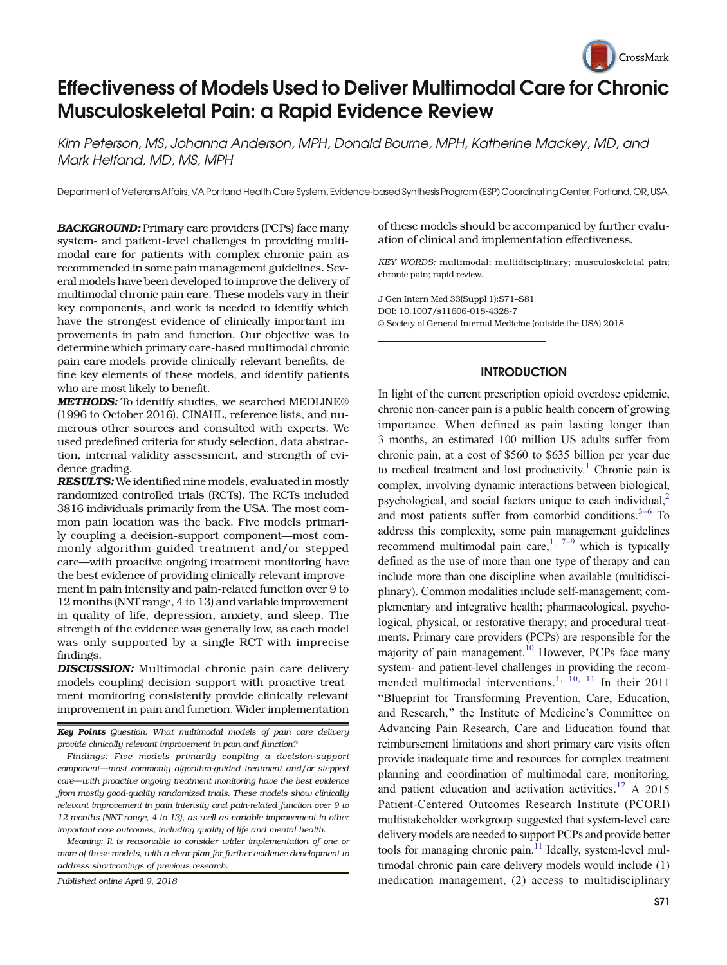

# Effectiveness of Models Used to Deliver Multimodal Care for Chronic Musculoskeletal Pain: a Rapid Evidence Review

Kim Peterson, MS, Johanna Anderson, MPH, Donald Bourne, MPH, Katherine Mackey, MD, and Mark Helfand, MD, MS, MPH

Department of Veterans Affairs, VA Portland Health Care System, Evidence-based Synthesis Program (ESP) Coordinating Center, Portland, OR, USA.

BACKGROUND: Primary care providers (PCPs) face many system- and patient-level challenges in providing multimodal care for patients with complex chronic pain as recommended in some pain management guidelines. Several models have been developed to improve the delivery of multimodal chronic pain care. These models vary in their key components, and work is needed to identify which have the strongest evidence of clinically-important improvements in pain and function. Our objective was to determine which primary care-based multimodal chronic pain care models provide clinically relevant benefits, define key elements of these models, and identify patients who are most likely to benefit.

METHODS: To identify studies, we searched MEDLINE® (1996 to October 2016), CINAHL, reference lists, and numerous other sources and consulted with experts. We used predefined criteria for study selection, data abstraction, internal validity assessment, and strength of evidence grading.

RESULTS: We identified nine models, evaluated in mostly randomized controlled trials (RCTs). The RCTs included 3816 individuals primarily from the USA. The most common pain location was the back. Five models primarily coupling a decision-support component—most commonly algorithm-guided treatment and/or stepped care—with proactive ongoing treatment monitoring have the best evidence of providing clinically relevant improvement in pain intensity and pain-related function over 9 to 12 months (NNT range, 4 to 13) and variable improvement in quality of life, depression, anxiety, and sleep. The strength of the evidence was generally low, as each model was only supported by a single RCT with imprecise findings.

**DISCUSSION:** Multimodal chronic pain care delivery models coupling decision support with proactive treatment monitoring consistently provide clinically relevant improvement in pain and function. Wider implementation

Key Points Question: What multimodal models of pain care delivery provide clinically relevant improvement in pain and function?

Meaning: It is reasonable to consider wider implementation of one or more of these models, with a clear plan for further evidence development to address shortcomings of previous research.

Published online April 9, 2018

of these models should be accompanied by further evaluation of clinical and implementation effectiveness.

KEY WORDS: multimodal; multidisciplinary; musculoskeletal pain; chronic pain; rapid review.

J Gen Intern Med 33(Suppl 1):S71–S81 DOI: 10.1007/s11606-018-4328-7 © Society of General Internal Medicine (outside the USA) 2018

## **INTRODUCTION**

In light of the current prescription opioid overdose epidemic, chronic non-cancer pain is a public health concern of growing importance. When defined as pain lasting longer than 3 months, an estimated 100 million US adults suffer from chronic pain, at a cost of \$560 to \$635 billion per year due to medical treatment and lost productivity.<sup>[1](#page-9-0)</sup> Chronic pain is complex, involving dynamic interactions between biological, psychological, and social factors unique to each individual,<sup>2</sup> and most patients suffer from comorbid conditions. $3-6$  $3-6$  To address this complexity, some pain management guidelines recommend multimodal pain care,<sup>1, [7](#page-9-0)–[9](#page-9-0)</sup> which is typically defined as the use of more than one type of therapy and can include more than one discipline when available (multidisciplinary). Common modalities include self-management; complementary and integrative health; pharmacological, psychological, physical, or restorative therapy; and procedural treatments. Primary care providers (PCPs) are responsible for the majority of pain management.<sup>10</sup> However, PCPs face many system- and patient-level challenges in providing the recom-mended multimodal interventions.<sup>[1](#page-9-0), [10,](#page-9-0) [11](#page-9-0)</sup> In their 2011 "Blueprint for Transforming Prevention, Care, Education, and Research," the Institute of Medicine's Committee on Advancing Pain Research, Care and Education found that reimbursement limitations and short primary care visits often provide inadequate time and resources for complex treatment planning and coordination of multimodal care, monitoring, and patient education and activation activities.<sup>[12](#page-9-0)</sup> A 2015 Patient-Centered Outcomes Research Institute (PCORI) multistakeholder workgroup suggested that system-level care delivery models are needed to support PCPs and provide better tools for managing chronic pain.<sup>[11](#page-9-0)</sup> Ideally, system-level multimodal chronic pain care delivery models would include (1) medication management, (2) access to multidisciplinary

Findings: Five models primarily coupling a decision-support component—most commonly algorithm-guided treatment and/or stepped care—with proactive ongoing treatment monitoring have the best evidence from mostly good-quality randomized trials. These models show clinically relevant improvement in pain intensity and pain-related function over 9 to 12 months (NNT range, 4 to 13), as well as variable improvement in other important core outcomes, including quality of life and mental health.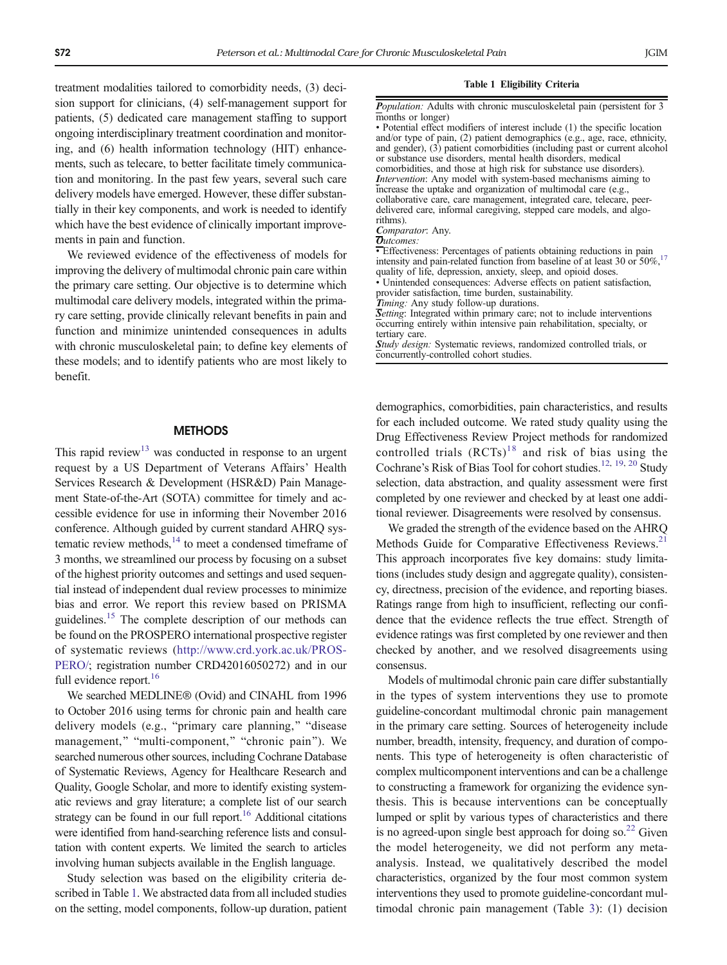treatment modalities tailored to comorbidity needs, (3) decision support for clinicians, (4) self-management support for patients, (5) dedicated care management staffing to support ongoing interdisciplinary treatment coordination and monitoring, and (6) health information technology (HIT) enhancements, such as telecare, to better facilitate timely communication and monitoring. In the past few years, several such care delivery models have emerged. However, these differ substantially in their key components, and work is needed to identify which have the best evidence of clinically important improvements in pain and function.

We reviewed evidence of the effectiveness of models for improving the delivery of multimodal chronic pain care within the primary care setting. Our objective is to determine which multimodal care delivery models, integrated within the primary care setting, provide clinically relevant benefits in pain and function and minimize unintended consequences in adults with chronic musculoskeletal pain; to define key elements of these models; and to identify patients who are most likely to benefit.

## **METHODS**

This rapid review<sup>13</sup> was conducted in response to an urgent request by a US Department of Veterans Affairs' Health Services Research & Development (HSR&D) Pain Management State-of-the-Art (SOTA) committee for timely and accessible evidence for use in informing their November 2016 conference. Although guided by current standard AHRQ systematic review methods, $^{14}$  $^{14}$  $^{14}$  to meet a condensed timeframe of 3 months, we streamlined our process by focusing on a subset of the highest priority outcomes and settings and used sequential instead of independent dual review processes to minimize bias and error. We report this review based on PRISMA guidelines[.15](#page-10-0) The complete description of our methods can be found on the PROSPERO international prospective register of systematic reviews ([http://www.crd.york.ac.uk/PROS-](http://www.crd.york.ac.uk/PROSPERO/)[PERO/;](http://www.crd.york.ac.uk/PROSPERO/) registration number CRD42016050272) and in our full evidence report.<sup>16</sup>

We searched MEDLINE® (Ovid) and CINAHL from 1996 to October 2016 using terms for chronic pain and health care delivery models (e.g., "primary care planning," "disease management," "multi-component," "chronic pain"). We searched numerous other sources, including Cochrane Database of Systematic Reviews, Agency for Healthcare Research and Quality, Google Scholar, and more to identify existing systematic reviews and gray literature; a complete list of our search strategy can be found in our full report.<sup>16</sup> Additional citations were identified from hand-searching reference lists and consultation with content experts. We limited the search to articles involving human subjects available in the English language.

Study selection was based on the eligibility criteria described in Table 1. We abstracted data from all included studies on the setting, model components, follow-up duration, patient

#### Table 1 Eligibility Criteria

Population: Adults with chronic musculoskeletal pain (persistent for 3 months or longer)

• Potential effect modifiers of interest include (1) the specific location and/or type of pain, (2) patient demographics (e.g., age, race, ethnicity, and gender), (3) patient comorbidities (including past or current alcohol or substance use disorders, mental health disorders, medical comorbidities, and those at high risk for substance use disorders). Intervention: Any model with system-based mechanisms aiming to increase the uptake and organization of multimodal care (e.g., collaborative care, care management, integrated care, telecare, peerdelivered care, informal caregiving, stepped care models, and algorithms).

Comparator: Any.

Outcomes:

• Effectiveness: Percentages of patients obtaining reductions in pain intensity and pain-related function from baseline of at least 30 or 50%,<sup>17</sup> quality of life, depression, anxiety, sleep, and opioid doses.

• Unintended consequences: Adverse effects on patient satisfaction, provider satisfaction, time burden, sustainability.

Timing: Any study follow-up durations.

Setting: Integrated within primary care; not to include interventions occurring entirely within intensive pain rehabilitation, specialty, or tertiary care.

Study design: Systematic reviews, randomized controlled trials, or concurrently-controlled cohort studies.

demographics, comorbidities, pain characteristics, and results for each included outcome. We rated study quality using the Drug Effectiveness Review Project methods for randomized controlled trials  $(RCTs)^{18}$  $(RCTs)^{18}$  $(RCTs)^{18}$  and risk of bias using the Cochrane's Risk of Bias Tool for cohort studies.<sup>12, [19,](#page-10-0) [20](#page-10-0)</sup> Study selection, data abstraction, and quality assessment were first completed by one reviewer and checked by at least one additional reviewer. Disagreements were resolved by consensus.

We graded the strength of the evidence based on the AHRQ Methods Guide for Comparative Effectiveness Reviews.<sup>[21](#page-10-0)</sup> This approach incorporates five key domains: study limitations (includes study design and aggregate quality), consistency, directness, precision of the evidence, and reporting biases. Ratings range from high to insufficient, reflecting our confidence that the evidence reflects the true effect. Strength of evidence ratings was first completed by one reviewer and then checked by another, and we resolved disagreements using consensus.

Models of multimodal chronic pain care differ substantially in the types of system interventions they use to promote guideline-concordant multimodal chronic pain management in the primary care setting. Sources of heterogeneity include number, breadth, intensity, frequency, and duration of components. This type of heterogeneity is often characteristic of complex multicomponent interventions and can be a challenge to constructing a framework for organizing the evidence synthesis. This is because interventions can be conceptually lumped or split by various types of characteristics and there is no agreed-upon single best approach for doing so. $^{22}$  Given the model heterogeneity, we did not perform any metaanalysis. Instead, we qualitatively described the model characteristics, organized by the four most common system interventions they used to promote guideline-concordant multimodal chronic pain management (Table [3\)](#page-5-0): (1) decision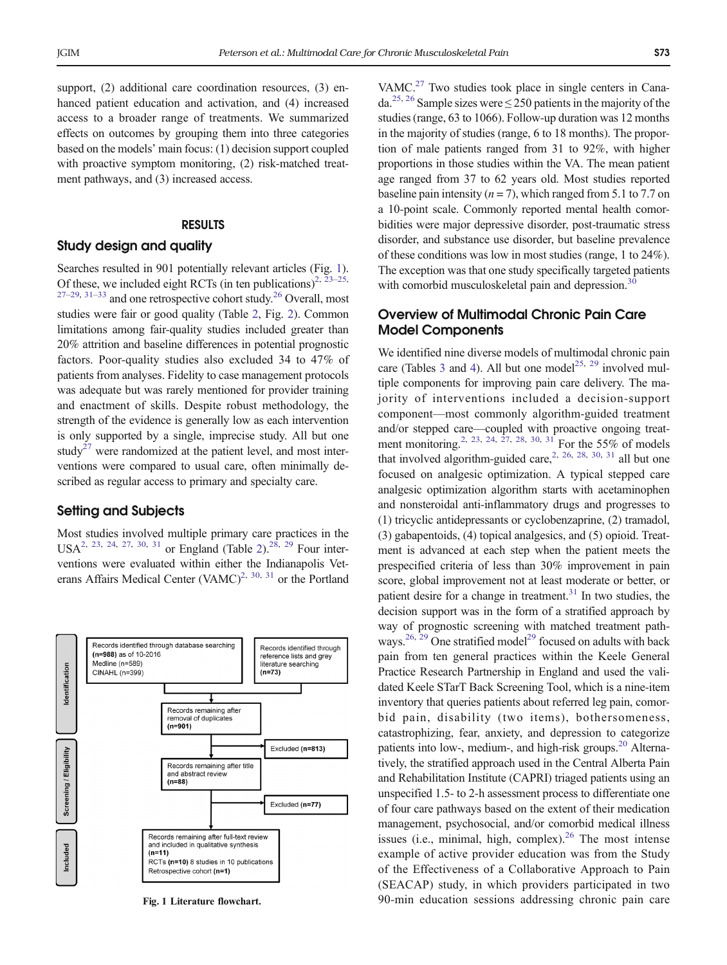support, (2) additional care coordination resources, (3) enhanced patient education and activation, and (4) increased access to a broader range of treatments. We summarized effects on outcomes by grouping them into three categories based on the models' main focus: (1) decision support coupled with proactive symptom monitoring, (2) risk-matched treatment pathways, and (3) increased access.

## RESULTS

## Study design and quality

Searches resulted in 901 potentially relevant articles (Fig. 1). Of these, we included eight RCTs (in ten publications)<sup>2, [23](#page-10-0)–[25](#page-10-0),</sup>  $27-29$  $27-29$  $27-29$ ,  $31-33$  $31-33$  $31-33$  and one retrospective cohort study.<sup>[26](#page-10-0)</sup> Overall, most studies were fair or good quality (Table [2,](#page-3-0) Fig. 2). Common limitations among fair-quality studies included greater than 20% attrition and baseline differences in potential prognostic factors. Poor-quality studies also excluded 34 to 47% of patients from analyses. Fidelity to case management protocols was adequate but was rarely mentioned for provider training and enactment of skills. Despite robust methodology, the strength of the evidence is generally low as each intervention is only supported by a single, imprecise study. All but one study<sup>27</sup> were randomized at the patient level, and most interventions were compared to usual care, often minimally described as regular access to primary and specialty care.

## Setting and Subjects

Most studies involved multiple primary care practices in the USA<sup>2, [23](#page-10-0), [24,](#page-10-0) [27](#page-10-0), [30,](#page-10-0) [31](#page-10-0)</sup> or England (Table [2](#page-3-0)).<sup>[28,](#page-10-0) [29](#page-10-0)</sup> Four interventions were evaluated within either the Indianapolis Vet-erans Affairs Medical Center (VAMC)<sup>2, [30,](#page-10-0) [31](#page-10-0)</sup> or the Portland



VAMC.<sup>27</sup> Two studies took place in single centers in Cana-da.<sup>25, [26](#page-10-0)</sup> Sample sizes were  $\leq$  250 patients in the majority of the studies (range, 63 to 1066). Follow-up duration was 12 months in the majority of studies (range, 6 to 18 months). The proportion of male patients ranged from 31 to 92%, with higher proportions in those studies within the VA. The mean patient age ranged from 37 to 62 years old. Most studies reported baseline pain intensity ( $n = 7$ ), which ranged from 5.1 to 7.7 on a 10-point scale. Commonly reported mental health comorbidities were major depressive disorder, post-traumatic stress disorder, and substance use disorder, but baseline prevalence of these conditions was low in most studies (range, 1 to 24%). The exception was that one study specifically targeted patients with comorbid musculoskeletal pain and depression.<sup>30</sup>

## Overview of Multimodal Chronic Pain Care Model Components

We identified nine diverse models of multimodal chronic pain care (Tables [3](#page-5-0) and [4](#page-6-0)). All but one model<sup>25, [29](#page-10-0)</sup> involved multiple components for improving pain care delivery. The majority of interventions included a decision-support component—most commonly algorithm-guided treatment and/or stepped care—coupled with proactive ongoing treat-ment monitoring.<sup>[2](#page-9-0), [23,](#page-10-0) [24,](#page-10-0) [27,](#page-10-0) [28](#page-10-0), [30](#page-10-0), [31](#page-10-0)</sup> For the 55% of models that involved algorithm-guided care,<sup>2, [26](#page-10-0), [28](#page-10-0), [30](#page-10-0), [31](#page-10-0)</sup> all but one focused on analgesic optimization. A typical stepped care analgesic optimization algorithm starts with acetaminophen and nonsteroidal anti-inflammatory drugs and progresses to (1) tricyclic antidepressants or cyclobenzaprine, (2) tramadol, (3) gabapentoids, (4) topical analgesics, and (5) opioid. Treatment is advanced at each step when the patient meets the prespecified criteria of less than 30% improvement in pain score, global improvement not at least moderate or better, or patient desire for a change in treatment. $31$  In two studies, the decision support was in the form of a stratified approach by way of prognostic screening with matched treatment path-ways.<sup>26, [29](#page-10-0)</sup> One stratified model<sup>29</sup> focused on adults with back pain from ten general practices within the Keele General Practice Research Partnership in England and used the validated Keele STarT Back Screening Tool, which is a nine-item inventory that queries patients about referred leg pain, comorbid pain, disability (two items), bothersomeness, catastrophizing, fear, anxiety, and depression to categorize patients into low-, medium-, and high-risk groups. $^{20}$  $^{20}$  $^{20}$  Alternatively, the stratified approach used in the Central Alberta Pain and Rehabilitation Institute (CAPRI) triaged patients using an unspecified 1.5- to 2-h assessment process to differentiate one of four care pathways based on the extent of their medication management, psychosocial, and/or comorbid medical illness issues (i.e., minimal, high, complex). $^{26}$  The most intense example of active provider education was from the Study of the Effectiveness of a Collaborative Approach to Pain (SEACAP) study, in which providers participated in two Fig. 1 Literature flowchart. 90-min education sessions addressing chronic pain care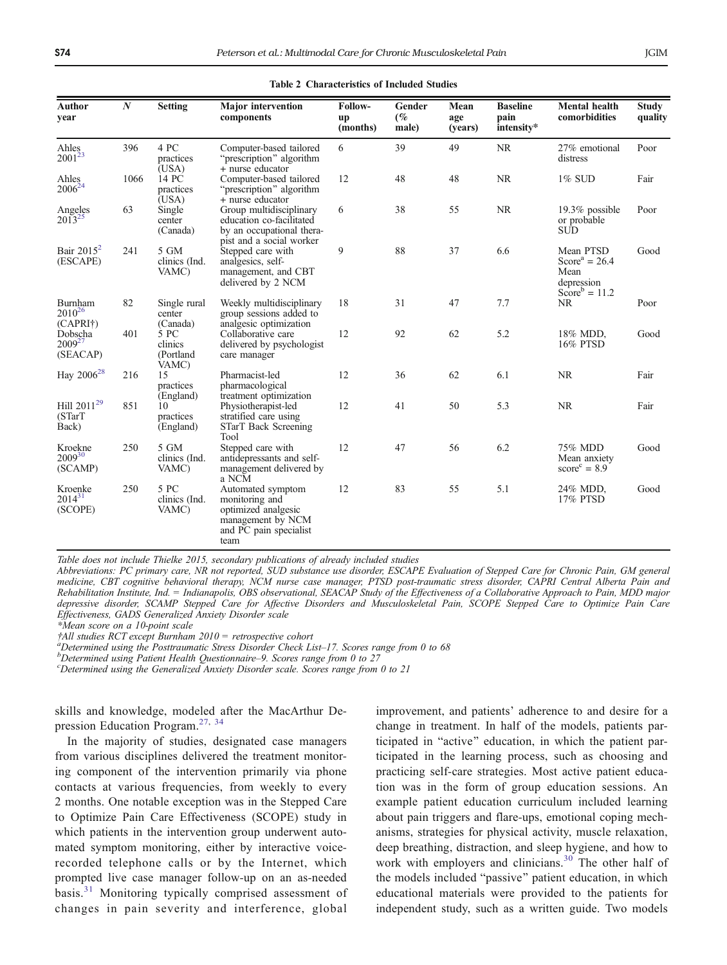<span id="page-3-0"></span>

| <b>Author</b><br>year                      | $\boldsymbol{N}$ | <b>Setting</b>                        | <b>Major</b> intervention<br>components                                                                           | Follow-<br>up<br>(months) | Gender<br>(%<br>male) | Mean<br>age<br>(years) | <b>Baseline</b><br>pain<br>intensity* | <b>Mental health</b><br>comorbidities                                                       | <b>Study</b><br>quality |
|--------------------------------------------|------------------|---------------------------------------|-------------------------------------------------------------------------------------------------------------------|---------------------------|-----------------------|------------------------|---------------------------------------|---------------------------------------------------------------------------------------------|-------------------------|
| Ahles<br>$2001^{23}$                       | 396              | 4 PC<br>practices<br>(USA)            | Computer-based tailored<br>"prescription" algorithm<br>+ nurse educator                                           | 6                         | 39                    | 49                     | <b>NR</b>                             | 27% emotional<br>distress                                                                   | Poor                    |
| Ahles<br>$2006^{24}$                       | 1066             | 14 PC<br>practices<br>(USA)           | Computer-based tailored<br>"prescription" algorithm<br>+ nurse educator                                           | 12                        | 48                    | 48                     | <b>NR</b>                             | $1\%$ SUD                                                                                   | Fair                    |
| Angeles<br>$2013^{25}$                     | 63               | Single<br>center<br>(Canada)          | Group multidisciplinary<br>education co-facilitated<br>by an occupational thera-<br>pist and a social worker      | 6                         | 38                    | 55                     | <b>NR</b>                             | 19.3% possible<br>or probable<br><b>SUD</b>                                                 | Poor                    |
| Bair $2015^2$<br>(ESCAPE)                  | 241              | 5 GM<br>clinics (Ind.<br>VAMC)        | Stepped care with<br>analgesics, self-<br>management, and CBT<br>delivered by 2 NCM                               | 9                         | 88                    | 37                     | 6.6                                   | Mean PTSD<br>Score <sup>a</sup> = 26.4<br>Mean<br>depression<br>Score <sup>b</sup> = $11.2$ | Good                    |
| Burnham<br>$2010^{26}$<br>(CAPRI†)         | 82               | Single rural<br>center<br>(Canada)    | Weekly multidisciplinary<br>group sessions added to<br>analgesic optimization                                     | 18                        | 31                    | 47                     | 7.7                                   | NR.                                                                                         | Poor                    |
| Dobscha<br>$2009^{27}$<br>(SEACAP)         | 401              | 5 PC<br>clinics<br>(Portland<br>VAMC) | Collaborative care<br>delivered by psychologist<br>care manager                                                   | 12                        | 92                    | 62                     | 5.2                                   | 18% MDD,<br>16% PTSD                                                                        | Good                    |
| Hay 2006 <sup>28</sup>                     | 216              | 15<br>practices<br>(England)          | Pharmacist-led<br>pharmacological<br>treatment optimization                                                       | 12                        | 36                    | 62                     | 6.1                                   | <b>NR</b>                                                                                   | Fair                    |
| Hill 2011 <sup>29</sup><br>(STarT<br>Back) | 851              | 10<br>practices<br>(England)          | Physiotherapist-led<br>stratified care using<br>STarT Back Screening<br>Tool                                      | 12                        | 41                    | 50                     | 5.3                                   | <b>NR</b>                                                                                   | Fair                    |
| Kroekne<br>$2009^{30}$<br>(SCAMP)          | 250              | 5 GM<br>clinics (Ind.<br>VAMC)        | Stepped care with<br>antidepressants and self-<br>management delivered by<br>a NCM                                | 12                        | 47                    | 56                     | 6.2                                   | 75% MDD<br>Mean anxiety<br>$score^c = 8.9$                                                  | Good                    |
| Kroenke<br>$2014^{31}$<br>(SCOPE)          | 250              | 5 PC<br>clinics (Ind.<br>VAMC)        | Automated symptom<br>monitoring and<br>optimized analgesic<br>management by NCM<br>and PC pain specialist<br>team | 12                        | 83                    | 55                     | 5.1                                   | 24% MDD,<br>17% PTSD                                                                        | Good                    |

#### Table 2 Characteristics of Included Studies

Table does not include Thielke 2015, secondary publications of already included studies

Abbreviations: PC primary care, NR not reported, SUD substance use disorder, ESCAPE Evaluation of Stepped Care for Chronic Pain, GM general medicine, CBT cognitive behavioral therapy, NCM nurse case manager, PTSD post-traumatic stress disorder, CAPRI Central Alberta Pain and Rehabilitation Institute, Ind. = Indianapolis, OBS observational, SEACAP Study of the Effectiveness of a Collaborative Approach to Pain, MDD major depressive disorder, SCAMP Stepped Care for Affective Disorders and Musculoskeletal Pain, SCOPE Stepped Care to Optimize Pain Care Effectiveness, GADS Generalized Anxiety Disorder scale

\*Mean score on a 10-point scale

†All studies RCT except Burnham 2010 = retrospective cohort

<sup>a</sup>Determined using the Posttraumatic Stress Disorder Check List–17. Scores range from 0 to 68<br><sup>b</sup>Determined using Patient Health Quastionnaire, 0. Seense range from 0 to 27

 $b$ Determined using Patient Health Questionnaire–9. Scores range from 0 to 27

 $c$ <sup>C</sup>Determined using the Generalized Anxiety Disorder scale. Scores range from 0 to 21

skills and knowledge, modeled after the MacArthur Depression Education Program.[27,](#page-10-0) [34](#page-10-0)

In the majority of studies, designated case managers from various disciplines delivered the treatment monitoring component of the intervention primarily via phone contacts at various frequencies, from weekly to every 2 months. One notable exception was in the Stepped Care to Optimize Pain Care Effectiveness (SCOPE) study in which patients in the intervention group underwent automated symptom monitoring, either by interactive voicerecorded telephone calls or by the Internet, which prompted live case manager follow-up on an as-needed basis.<sup>[31](#page-10-0)</sup> Monitoring typically comprised assessment of changes in pain severity and interference, global improvement, and patients' adherence to and desire for a change in treatment. In half of the models, patients participated in "active" education, in which the patient participated in the learning process, such as choosing and practicing self-care strategies. Most active patient education was in the form of group education sessions. An example patient education curriculum included learning about pain triggers and flare-ups, emotional coping mechanisms, strategies for physical activity, muscle relaxation, deep breathing, distraction, and sleep hygiene, and how to work with employers and clinicians.<sup>[30](#page-10-0)</sup> The other half of the models included "passive" patient education, in which educational materials were provided to the patients for independent study, such as a written guide. Two models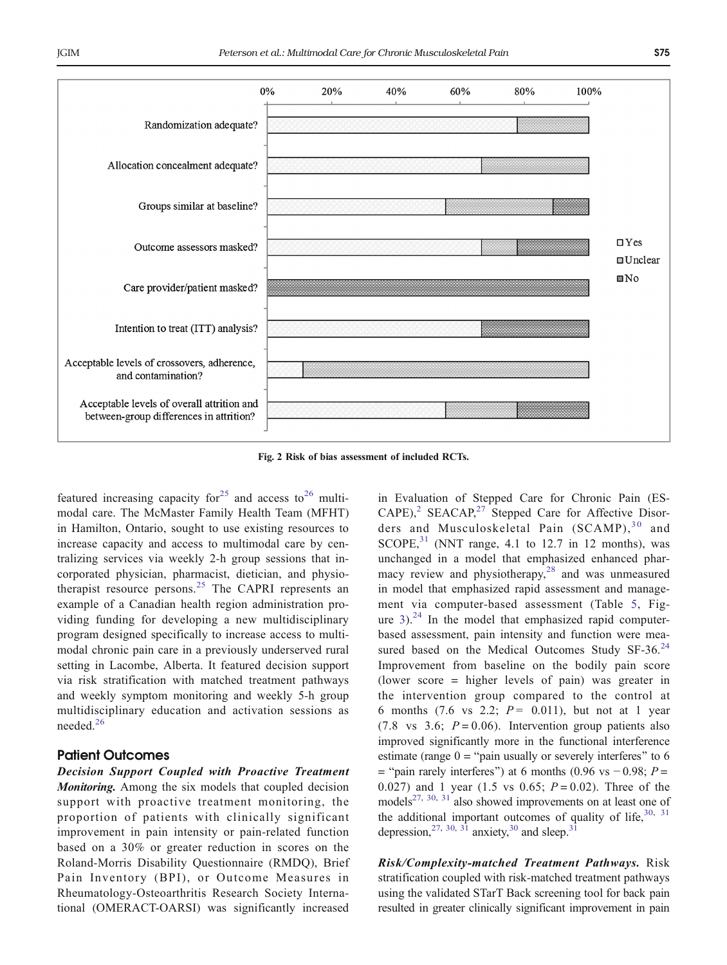

Fig. 2 Risk of bias assessment of included RCTs.

featured increasing capacity for<sup>[25](#page-10-0)</sup> and access to<sup>[26](#page-10-0)</sup> multimodal care. The McMaster Family Health Team (MFHT) in Hamilton, Ontario, sought to use existing resources to increase capacity and access to multimodal care by centralizing services via weekly 2-h group sessions that incorporated physician, pharmacist, dietician, and physio-therapist resource persons.<sup>[25](#page-10-0)</sup> The CAPRI represents an example of a Canadian health region administration providing funding for developing a new multidisciplinary program designed specifically to increase access to multimodal chronic pain care in a previously underserved rural setting in Lacombe, Alberta. It featured decision support via risk stratification with matched treatment pathways and weekly symptom monitoring and weekly 5-h group multidisciplinary education and activation sessions as needed.<sup>[26](#page-10-0)</sup>

## Patient Outcomes

Decision Support Coupled with Proactive Treatment Monitoring. Among the six models that coupled decision support with proactive treatment monitoring, the proportion of patients with clinically significant improvement in pain intensity or pain-related function based on a 30% or greater reduction in scores on the Roland-Morris Disability Questionnaire (RMDQ), Brief Pain Inventory (BPI), or Outcome Measures in Rheumatology-Osteoarthritis Research Society International (OMERACT-OARSI) was significantly increased

in Evaluation of Stepped Care for Chronic Pain (ES- $CAPE$ ),<sup>[2](#page-9-0)</sup> SEACAP,<sup>[27](#page-10-0)</sup> Stepped Care for Affective Disor-ders and Musculoskeletal Pain (SCAMP),<sup>[30](#page-10-0)</sup> and SCOPE, $31$  (NNT range, 4.1 to 12.7 in 12 months), was unchanged in a model that emphasized enhanced pharmacy review and physiotherapy, $28$  and was unmeasured in model that emphasized rapid assessment and management via computer-based assessment (Table [5](#page-7-0), Figure  $3$ ).<sup>[24](#page-10-0)</sup> In the model that emphasized rapid computerbased assessment, pain intensity and function were measured based on the Medical Outcomes Study  $SF-36.<sup>24</sup>$  $SF-36.<sup>24</sup>$  $SF-36.<sup>24</sup>$ Improvement from baseline on the bodily pain score (lower score = higher levels of pain) was greater in the intervention group compared to the control at 6 months (7.6 vs 2.2;  $P = 0.011$ ), but not at 1 year (7.8 vs 3.6;  $P = 0.06$ ). Intervention group patients also improved significantly more in the functional interference estimate (range  $0 =$  "pain usually or severely interferes" to 6  $=$  "pain rarely interferes") at 6 months (0.96 vs − 0.98; P = 0.027) and 1 year (1.5 vs 0.65;  $P = 0.02$ ). Three of the models<sup>27, [30](#page-10-0), [31](#page-10-0)</sup> also showed improvements on at least one of the additional important outcomes of quality of life,  $30, 31$  $30, 31$  $30, 31$ depression,  $27, 30, 31$  $27, 30, 31$  $27, 30, 31$  $27, 30, 31$  $27, 30, 31$  anxiety,  $30$  and sleep.  $31$ 

Risk/Complexity-matched Treatment Pathways. Risk stratification coupled with risk-matched treatment pathways using the validated STarT Back screening tool for back pain resulted in greater clinically significant improvement in pain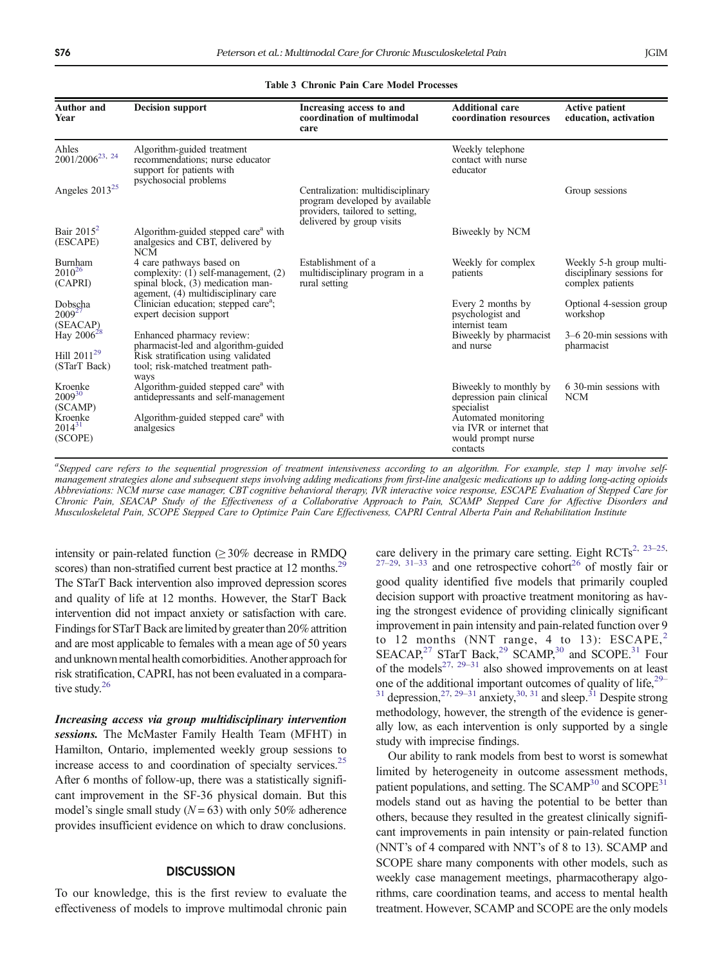#### <span id="page-5-0"></span>Author and Year Decision support **Increasing access to and** coordination of multimodal care Additional care coordination resources Active patient education, activation Ahles<br>2001/2006<sup>23, 24</sup> Ahles Algorithm-guided treatment<br>2001/2006<sup>23, [24](#page-10-0)</sup> recommendations; nurse educator support for patients with psychosocial problems Weekly telephone contact with nurse educator Angeles 2013<sup>25</sup> Centralization: multidisciplinary program developed by available providers, tailored to setting, delivered by group visits Group sessions Bair 201[52](#page-9-0) (ESCAPE) Algorithm-guided stepped care<sup>a</sup> with analgesics and CBT, delivered by NCM Biweekly by NCM Burnham  $2010^{26}$  $2010^{26}$  $2010^{26}$ (CAPRI) 4 care pathways based on complexity: (1) self-management, (2) spinal block, (3) medication management, (4) multidisciplinary care Establishment of a multidisciplinary program in a rural setting Weekly for complex patients Weekly 5-h group multidisciplinary sessions for complex patients Dobscha  $2009<sup>2</sup>$  $(SEACAP)$ <br>Hay 2006<sup>28</sup> Clinician education; stepped care<sup>a</sup>; expert decision support Every 2 months by psychologist and internist team Optional 4-session group workshop Enhanced pharmacy review: pharmacist-led and algorithm-guided Biweekly by pharmacist and nurse 3–6 20-min sessions with pharmacist Hill 2011<sup>[29](#page-10-0)</sup> (STarT Back) Risk stratification using validated tool; risk-matched treatment pathways Kroenke<br>2009<sup>[30](#page-10-0)</sup> (SCAMP) Algorithm-guided stepped care<sup>a</sup> with antidepressants and self-management Biweekly to monthly by depression pain clinical specialist 6 30-min sessions with NCM Kroenke  $2014^{31}$  $2014^{31}$  $2014^{31}$ (SCOPE) Algorithm-guided stepped care<sup>a</sup> with analgesics Automated monitoring via IVR or internet that would prompt nurse contacts

Table 3 Chronic Pain Care Model Processes

a<br>Stepped care refers to the sequential progression of treatment intensiveness according to an algorithm. For example, step 1 may involve selfmanagement strategies alone and subsequent steps involving adding medications from first-line analgesic medications up to adding long-acting opioids Abbreviations: NCM nurse case manager, CBT cognitive behavioral therapy, IVR interactive voice response, ESCAPE Evaluation of Stepped Care for Chronic Pain, SEACAP Study of the Effectiveness of a Collaborative Approach to Pain, SCAMP Stepped Care for Affective Disorders and Musculoskeletal Pain, SCOPE Stepped Care to Optimize Pain Care Effectiveness, CAPRI Central Alberta Pain and Rehabilitation Institute

intensity or pain-related function  $(\geq 30\%$  decrease in RMDQ scores) than non-stratified current best practice at 12 months.<sup>29</sup> The STarT Back intervention also improved depression scores and quality of life at 12 months. However, the StarT Back intervention did not impact anxiety or satisfaction with care. Findings for STarT Back are limited by greater than 20% attrition and are most applicable to females with a mean age of 50 years and unknown mental health comorbidities. Another approach for risk stratification, CAPRI, has not been evaluated in a comparative study.<sup>26</sup>

Increasing access via group multidisciplinary intervention sessions. The McMaster Family Health Team (MFHT) in Hamilton, Ontario, implemented weekly group sessions to increase access to and coordination of specialty services.<sup>[25](#page-10-0)</sup> After 6 months of follow-up, there was a statistically significant improvement in the SF-36 physical domain. But this model's single small study ( $N = 63$ ) with only 50% adherence provides insufficient evidence on which to draw conclusions.

## **DISCUSSION**

To our knowledge, this is the first review to evaluate the effectiveness of models to improve multimodal chronic pain care delivery in the primary care setting. Eight RCTs<sup>2, [23](#page-10-0)–[25](#page-10-0),</sup>  $27-29$  $27-29$  $27-29$ ,  $31-33$  $31-33$  $31-33$  and one retrospective cohort<sup>26</sup> of mostly fair or good quality identified five models that primarily coupled decision support with proactive treatment monitoring as having the strongest evidence of providing clinically significant improvement in pain intensity and pain-related function over 9 to 1[2](#page-9-0) months (NNT range, 4 to 13):  $ESCAPE<sup>2</sup>$ , SEACAP,<sup>[27](#page-10-0)</sup> STarT Back,<sup>[29](#page-10-0)</sup> SCAMP,<sup>30</sup> and SCOPE.<sup>31</sup> Four of the models<sup>27, [29](#page-10-0)–[31](#page-10-0)</sup> also showed improvements on at least one of the additional important outcomes of quality of life[,29](#page-10-0)–  $31$  depression,  $27, 29-31$  $27, 29-31$  $27, 29-31$  anxiety,  $30, 31$  and sleep.  $31$  Despite strong methodology, however, the strength of the evidence is generally low, as each intervention is only supported by a single study with imprecise findings.

Our ability to rank models from best to worst is somewhat limited by heterogeneity in outcome assessment methods, patient populations, and setting. The SCAMP $30$  and SCOPE $31$ models stand out as having the potential to be better than others, because they resulted in the greatest clinically significant improvements in pain intensity or pain-related function (NNT's of 4 compared with NNT's of 8 to 13). SCAMP and SCOPE share many components with other models, such as weekly case management meetings, pharmacotherapy algorithms, care coordination teams, and access to mental health treatment. However, SCAMP and SCOPE are the only models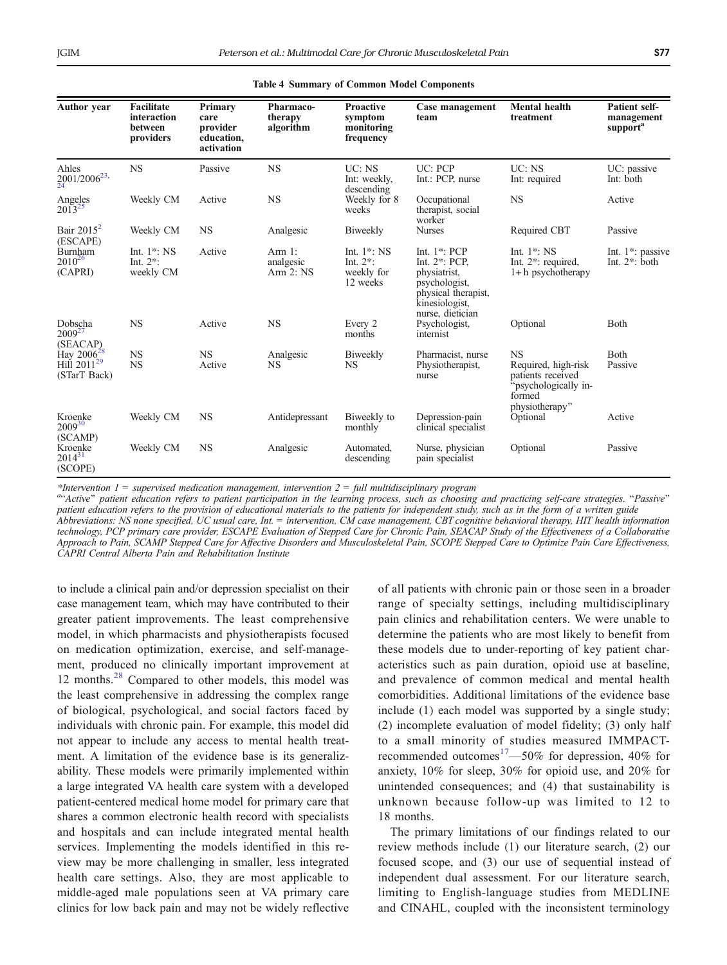<span id="page-6-0"></span>

| <b>Author</b> year                                         | Facilitate<br>interaction<br>between<br>providers | Primary<br>care<br>provider<br>education,<br>activation | Pharmaco-<br>therapy<br>algorithm | <b>Proactive</b><br>symptom<br>monitoring<br>frequency    | Case management<br>team                                                                                                             | <b>Mental health</b><br>treatment                                                                         | Patient self-<br>management<br>support <sup>a</sup> |
|------------------------------------------------------------|---------------------------------------------------|---------------------------------------------------------|-----------------------------------|-----------------------------------------------------------|-------------------------------------------------------------------------------------------------------------------------------------|-----------------------------------------------------------------------------------------------------------|-----------------------------------------------------|
| Ahles<br>$2001/2006^{23}$                                  | <b>NS</b>                                         | Passive                                                 | <b>NS</b>                         | UC: NS<br>Int: weekly,<br>descending                      | UC: PCP<br>Int.: PCP, nurse                                                                                                         | UC: NS<br>Int: required                                                                                   | UC: passive<br>Int: both                            |
| Angeles<br>$2013^{25}$                                     | Weekly CM                                         | Active                                                  | <b>NS</b>                         | Weekly for 8<br>weeks                                     | Occupational<br>therapist, social<br>worker                                                                                         | <b>NS</b>                                                                                                 | Active                                              |
| Bair $2015^2$<br>(ESCAPE)                                  | Weekly CM                                         | <b>NS</b>                                               | Analgesic                         | Biweekly                                                  | <b>Nurses</b>                                                                                                                       | Required CBT                                                                                              | Passive                                             |
| Burnham<br>$2010^{26}$<br>(CAPRI)                          | Int. $1^*$ : NS<br>Int. $2^*$ :<br>weekly CM      | Active                                                  | Arm 1:<br>analgesic<br>Arm 2: NS  | Int. $1^*$ : NS<br>Int. $2^*$ :<br>weekly for<br>12 weeks | Int. $1^*$ : PCP<br>Int. $2^*$ : PCP,<br>physiatrist,<br>psychologist,<br>physical therapist,<br>kinesiologist,<br>nurse, dietician | Int. $1^*$ : NS<br>Int. $2^*$ : required,<br>$1 + h$ psychotherapy                                        | Int. $1^*$ : passive<br>Int. $2^*$ : both           |
| Dobscha<br>$2009^{27}$<br>(SEACAP)                         | <b>NS</b>                                         | Active                                                  | <b>NS</b>                         | Every 2<br>months                                         | Psychologist,<br>internist                                                                                                          | Optional                                                                                                  | <b>B</b> oth                                        |
| Hay $2006^{28}$<br>Hill 2011 <sup>29</sup><br>(STarT Back) | <b>NS</b><br><b>NS</b>                            | <b>NS</b><br>Active                                     | Analgesic<br><b>NS</b>            | Biweekly<br><b>NS</b>                                     | Pharmacist, nurse<br>Physiotherapist,<br>nurse                                                                                      | <b>NS</b><br>Required, high-risk<br>patients received<br>"psychologically in-<br>formed<br>physiotherapy" | <b>B</b> oth<br>Passive                             |
| Kroenke<br>$2009^{30}$<br>(SCAMP)                          | Weekly CM                                         | <b>NS</b>                                               | Antidepressant                    | Biweekly to<br>monthly                                    | Depression-pain<br>clinical specialist                                                                                              | Optional                                                                                                  | Active                                              |
| Kroenke<br>$2014^{31}$<br>(SCOPE)                          | Weekly CM                                         | <b>NS</b>                                               | Analgesic                         | Automated,<br>descending                                  | Nurse, physician<br>pain specialist                                                                                                 | Optional                                                                                                  | Passive                                             |

|  |  |  |  | <b>Table 4 Summary of Common Model Components</b> |
|--|--|--|--|---------------------------------------------------|
|--|--|--|--|---------------------------------------------------|

\*Intervention  $1 =$  supervised medication management, intervention  $2 =$  full multidisciplinary program

a "Active" patient education refers to patient participation in the learning process, such as choosing and practicing self-care strategies. "Passive" patient education refers to the provision of educational materials to the patients for independent study, such as in the form of a written guide Abbreviations: NS none specified, UC usual care, Int. = intervention, CM case management, CBT cognitive behavioral therapy, HIT health information

technology, PCP primary care provider, ESCAPE Evaluation of Stepped Care for Chronic Pain, SEACAP Study of the Effectiveness of a Collaborative Approach to Pain, SCAMP Stepped Care for Affective Disorders and Musculoskeletal Pain, SCOPE Stepped Care to Optimize Pain Care Effectiveness, CAPRI Central Alberta Pain and Rehabilitation Institute

to include a clinical pain and/or depression specialist on their case management team, which may have contributed to their greater patient improvements. The least comprehensive model, in which pharmacists and physiotherapists focused on medication optimization, exercise, and self-management, produced no clinically important improvement at 12 months.[28](#page-10-0) Compared to other models, this model was the least comprehensive in addressing the complex range of biological, psychological, and social factors faced by individuals with chronic pain. For example, this model did not appear to include any access to mental health treatment. A limitation of the evidence base is its generalizability. These models were primarily implemented within a large integrated VA health care system with a developed patient-centered medical home model for primary care that shares a common electronic health record with specialists and hospitals and can include integrated mental health services. Implementing the models identified in this review may be more challenging in smaller, less integrated health care settings. Also, they are most applicable to middle-aged male populations seen at VA primary care clinics for low back pain and may not be widely reflective

of all patients with chronic pain or those seen in a broader range of specialty settings, including multidisciplinary pain clinics and rehabilitation centers. We were unable to determine the patients who are most likely to benefit from these models due to under-reporting of key patient characteristics such as pain duration, opioid use at baseline, and prevalence of common medical and mental health comorbidities. Additional limitations of the evidence base include (1) each model was supported by a single study; (2) incomplete evaluation of model fidelity; (3) only half to a small minority of studies measured IMMPACT-recommended outcomes<sup>[17](#page-10-0)</sup>—50% for depression, 40% for anxiety, 10% for sleep, 30% for opioid use, and 20% for unintended consequences; and (4) that sustainability is unknown because follow-up was limited to 12 to 18 months.

The primary limitations of our findings related to our review methods include (1) our literature search, (2) our focused scope, and (3) our use of sequential instead of independent dual assessment. For our literature search, limiting to English-language studies from MEDLINE and CINAHL, coupled with the inconsistent terminology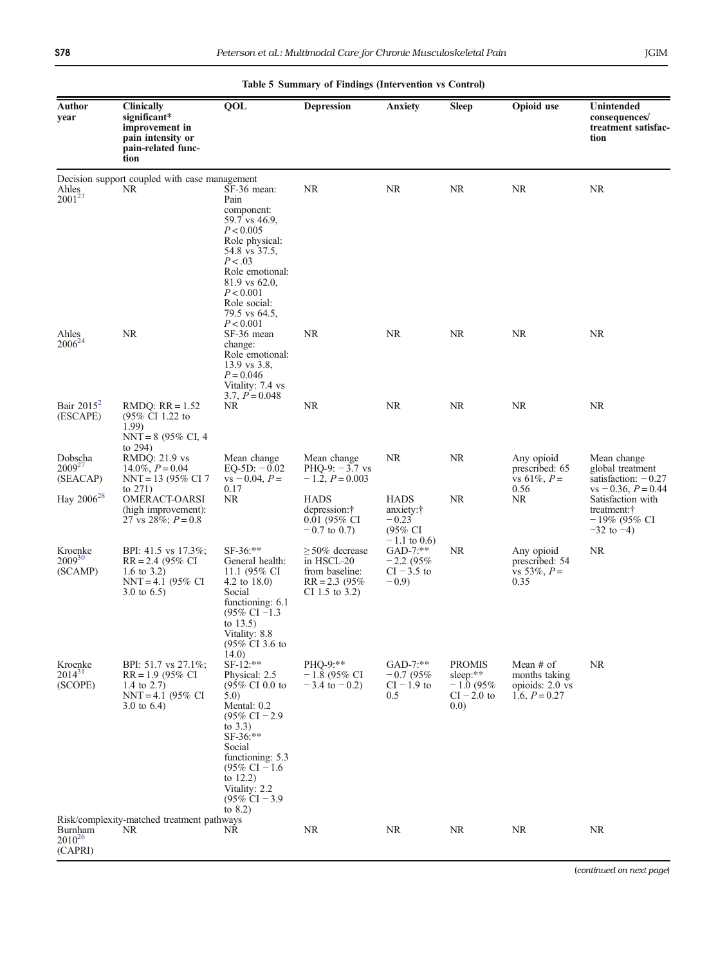<span id="page-7-0"></span>

| Author                             | <b>Clinically</b><br>significant*                                                                              | QOL                                                                                                                                                                                                                                                                                 | Table 5 Summary of Findings (Intervention vs Control)<br><b>Depression</b>                    | <b>Anxiety</b>                                                               | <b>Sleep</b>                                                         | Opioid use                                                       | <b>Unintended</b><br>consequences/                                                                                                                          |
|------------------------------------|----------------------------------------------------------------------------------------------------------------|-------------------------------------------------------------------------------------------------------------------------------------------------------------------------------------------------------------------------------------------------------------------------------------|-----------------------------------------------------------------------------------------------|------------------------------------------------------------------------------|----------------------------------------------------------------------|------------------------------------------------------------------|-------------------------------------------------------------------------------------------------------------------------------------------------------------|
| year                               | improvement in<br>pain intensity or<br>pain-related func-<br>tion                                              |                                                                                                                                                                                                                                                                                     |                                                                                               |                                                                              |                                                                      |                                                                  | treatment satisfac-<br>tion                                                                                                                                 |
| Ahles<br>$2001^{23}$               | Decision support coupled with case management<br>NR.                                                           | SF-36 mean:<br>Pain<br>component:<br>59.7 vs 46.9.<br>P < 0.005<br>Role physical:<br>54.8 vs 37.5,<br>P < .03<br>Role emotional:<br>81.9 vs 62.0,<br>P < 0.001<br>Role social:<br>79.5 vs 64.5,<br>P < 0.001                                                                        | NR                                                                                            | NR                                                                           | <b>NR</b>                                                            | <b>NR</b>                                                        | NR                                                                                                                                                          |
| Ahles<br>$2006^{24}$               | <b>NR</b>                                                                                                      | SF-36 mean<br>change:<br>Role emotional:<br>$13.9$ vs $3.8$ ,<br>$P = 0.046$<br>Vitality: 7.4 vs<br>3.7, $P = 0.048$                                                                                                                                                                | NR                                                                                            | NR                                                                           | NR                                                                   | <b>NR</b>                                                        | <b>NR</b>                                                                                                                                                   |
| Bair 2015 <sup>2</sup><br>(ESCAPE) | $RMDQ: RR = 1.52$<br>$(95\% \text{ CI } 1.22 \text{ to }$<br>1.99)<br>$NNT = 8 (95\% CI, 4)$                   | NR                                                                                                                                                                                                                                                                                  | NR                                                                                            | <b>NR</b>                                                                    | NR                                                                   | NR                                                               | <b>NR</b>                                                                                                                                                   |
| Dobscha<br>$2009^{27}$<br>(SEACAP) | to $294$ )<br>RMDQ: 21.9 vs<br>14.0%, $P = 0.04$<br>$NNT = 13 (95\% CI 7)$<br>to $271$ )                       | Mean change<br>$EQ-5D: -0.02$<br>$vs = 0.04, P =$<br>0.17                                                                                                                                                                                                                           | Mean change<br>$PHO-9: -3.7$ vs<br>$-1.2, P=0.003$                                            | <b>NR</b>                                                                    | NR                                                                   | Any opioid<br>prescribed: 65<br>vs 61%, $P =$<br>0.56            | Mean change<br>global treatment<br>satisfaction: $-0.27$<br>$vs = 0.36, P = 0.44$<br>Satisfaction with<br>treatment:†<br>$-19\%$ (95% CI<br>$-32$ to $-4$ ) |
| Hay 2006 <sup>28</sup>             | OMERACT-OARSI<br>(high improvement):<br>27 vs 28%; $P = 0.8$                                                   | NR.                                                                                                                                                                                                                                                                                 | <b>HADS</b><br>depression:†<br>0.01 (95% CI<br>$-0.7$ to 0.7)                                 | <b>HADS</b><br>anxiety:†<br>$-0.23$<br>$(95\% \text{ CI})$<br>$-1.1$ to 0.6) | NR                                                                   | NR                                                               |                                                                                                                                                             |
| Kroenke<br>$2009^{30}$<br>(SCAMP)  | BPI: 41.5 vs 17.3%;<br>$RR = 2.4 (95\% \text{ CI})$<br>1.6 to $3.2$ )<br>$NNT = 4.1$ (95% CI<br>3.0 to $6.5$ ) | $SF-36$ :**<br>General health:<br>11.1 (95% CI<br>4.2 to $18.0$ )<br>Social<br>functioning: 6.1<br>$(95\% \text{ CI} - 1.3)$<br>to $13.5$ )<br>Vitality: 8.8<br>(95% CI 3.6 to<br>14.0)                                                                                             | $\geq$ 50% decrease<br>in HSCL-20<br>from baseline:<br>$RR = 2.3 (95\%)$<br>CI 1.5 to $3.2$ ) | $GAD-7$ :**<br>$-2.2(95%$<br>$CI - 3.5$ to<br>$-0.9$                         | NR                                                                   | Any opioid<br>prescribed: 54<br>vs 53%, $P =$<br>0.35            | <b>NR</b>                                                                                                                                                   |
| Kroenke<br>$2014^{31}$<br>(SCOPE)  | BPI: 51.7 vs 27.1%;<br>$RR = 1.9$ (95% CI<br>1.4 to $2.7$ )<br>$NNT = 4.1 (95\% CI$<br>3.0 to $6.4$ )          | SF-12:**<br>Physical: 2.5<br>$(95\% \text{ CI } 0.0 \text{ to }$<br>5.0<br>Mental: 0.2<br>$(95\% \text{ CI} - 2.9)$<br>to $3.3$ )<br>SF-36:**<br>Social<br>functioning: 5.3<br>$(95\% \text{ CI} - 1.6)$<br>to $12.2$ )<br>Vitality: 2.2<br>$(95\% \text{ CI} - 3.9)$<br>to $8.2$ ) | $PHO-9$ :**<br>$-1.8$ (95% CI<br>$-3.4$ to $-0.2$ )                                           | $GAD-7$ :**<br>$-0.7(95%$<br>$CI - 1.9$ to<br>0.5                            | <b>PROMIS</b><br>sleep: $**$<br>$-1.0(95%$<br>$CI - 2.0$ to<br>(0.0) | Mean # of<br>months taking<br>opioids: 2.0 vs<br>1.6, $P = 0.27$ | NR.                                                                                                                                                         |
| Burnham<br>$2010^{26}$<br>(CAPRI)  | Risk/complexity-matched treatment pathways<br>NR.                                                              | NR.                                                                                                                                                                                                                                                                                 | <b>NR</b>                                                                                     | NR                                                                           | <b>NR</b>                                                            | <b>NR</b>                                                        | <b>NR</b>                                                                                                                                                   |

(continued on next page)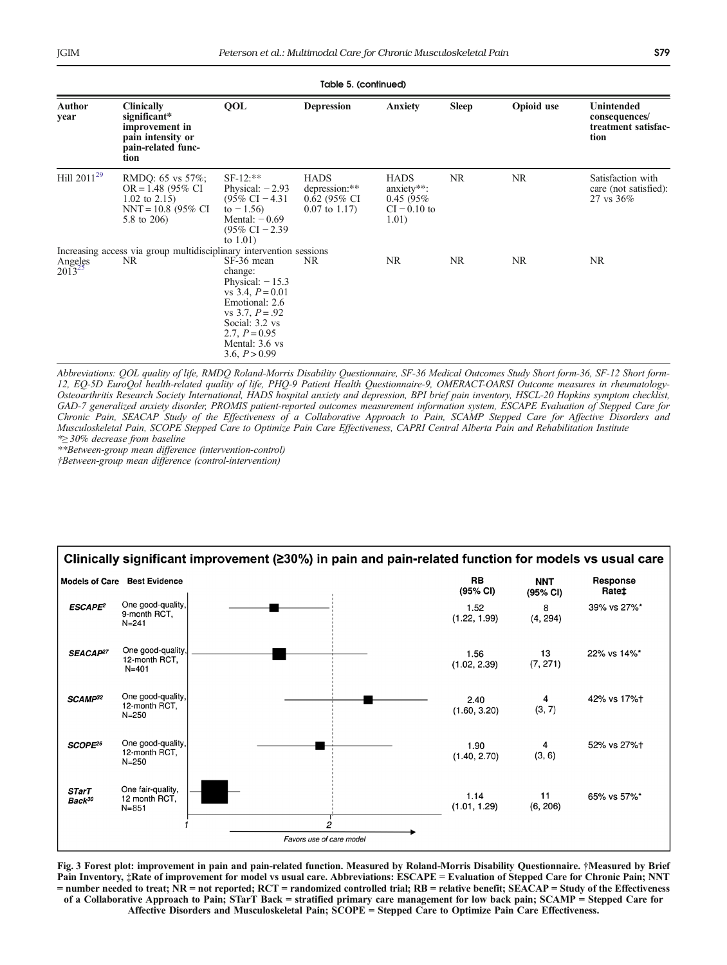| Table 5. (continued)   |                                                                                                        |                                                                                                                                                                                   |                                                                   |                                                                        |              |            |                                                                     |  |
|------------------------|--------------------------------------------------------------------------------------------------------|-----------------------------------------------------------------------------------------------------------------------------------------------------------------------------------|-------------------------------------------------------------------|------------------------------------------------------------------------|--------------|------------|---------------------------------------------------------------------|--|
| Author<br>year         | <b>Clinically</b><br>significant*<br>improvement in<br>pain intensity or<br>pain-related func-<br>tion | OOL                                                                                                                                                                               | <b>Depression</b>                                                 | <b>Anxiety</b>                                                         | <b>Sleep</b> | Opioid use | <b>Unintended</b><br>consequences/<br>treatment satisfac-<br>tion   |  |
| Hill $2011^{29}$       | RMDQ: 65 vs 57%;<br>$OR = 1.48$ (95% CI<br>1.02 to $2.15$ )<br>$NNT = 10.8$ (95% CI<br>5.8 to 206)     | $SF-12$ :**<br>Physical: $-2.93$<br>$(95\% \text{ CI} - 4.31)$<br>to $-1.56$ )<br>Mental: $-0.69$<br>$(95\% \text{ CI} - 2.39)$<br>to $1.01$ )                                    | <b>HADS</b><br>depression:**<br>$0.62$ (95% CI<br>$0.07$ to 1.17) | <b>HADS</b><br>$anxiety**$ :<br>$0.45(95\%$<br>$CI = 0.10$ to<br>1.01) | NR.          | <b>NR</b>  | Satisfaction with<br>care (not satisfied):<br>$27 \text{ vs } 36\%$ |  |
| Angeles<br>$2013^{25}$ | Increasing access via group multidisciplinary intervention sessions<br>NR.                             | SF-36 mean<br>change:<br>Physical: $-15.3$<br>vs 3.4, $P = 0.01$<br>Emotional: 2.6<br>vs 3.7, $P = .92$<br>Social: 3.2 vs<br>2.7, $P = 0.95$<br>Mental: 3.6 vs<br>3.6, $P > 0.99$ | NR.                                                               | NR.                                                                    | <b>NR</b>    | NR.        | <b>NR</b>                                                           |  |

Abbreviations: QOL quality of life, RMDQ Roland-Morris Disability Questionnaire, SF-36 Medical Outcomes Study Short form-36, SF-12 Short form-12, EQ-5D EuroQol health-related quality of life, PHQ-9 Patient Health Questionnaire-9, OMERACT-OARSI Outcome measures in rheumatology-Osteoarthritis Research Society International, HADS hospital anxiety and depression, BPI brief pain inventory, HSCL-20 Hopkins symptom checklist, GAD-7 generalized anxiety disorder, PROMIS patient-reported outcomes measurement information system, ESCAPE Evaluation of Stepped Care for Chronic Pain, SEACAP Study of the Effectiveness of a Collaborative Approach to Pain, SCAMP Stepped Care for Affective Disorders and Musculoskeletal Pain, SCOPE Stepped Care to Optimize Pain Care Effectiveness, CAPRI Central Alberta Pain and Rehabilitation Institute \*≥ 30% decrease from baseline

\*\*Between-group mean difference (intervention-control)

†Between-group mean difference (control-intervention)



Fig. 3 Forest plot: improvement in pain and pain-related function. Measured by Roland-Morris Disability Questionnaire. †Measured by Brief Pain Inventory, ‡Rate of improvement for model vs usual care. Abbreviations: ESCAPE = Evaluation of Stepped Care for Chronic Pain; NNT = number needed to treat; NR = not reported; RCT = randomized controlled trial; RB = relative benefit; SEACAP = Study of the Effectiveness of a Collaborative Approach to Pain; STarT Back = stratified primary care management for low back pain; SCAMP = Stepped Care for Affective Disorders and Musculoskeletal Pain; SCOPE = Stepped Care to Optimize Pain Care Effectiveness.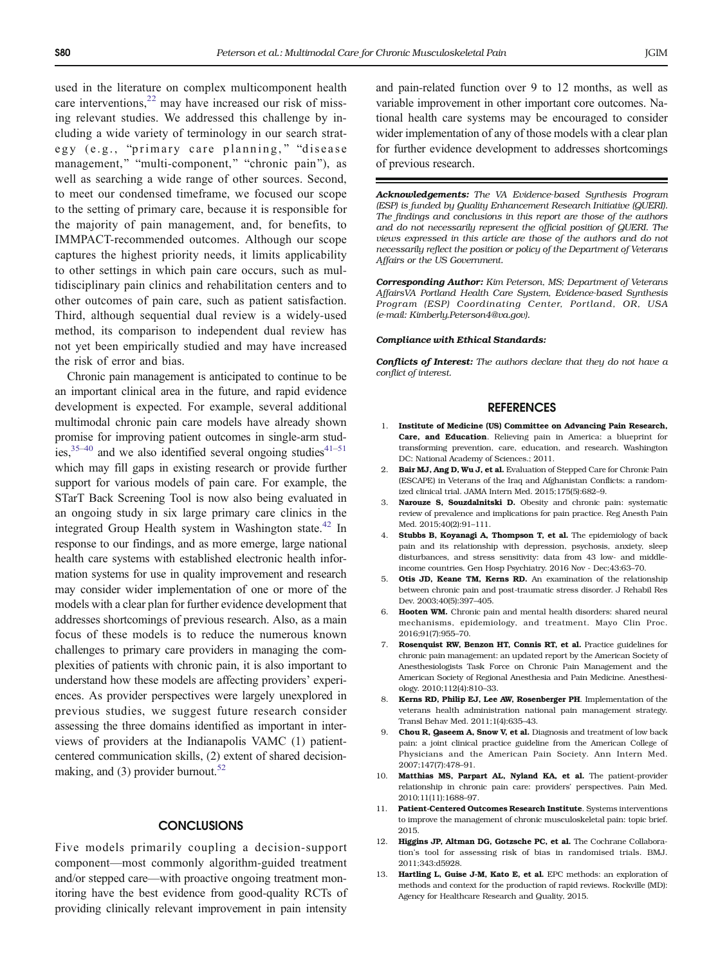<span id="page-9-0"></span>used in the literature on complex multicomponent health care interventions, $^{22}$  $^{22}$  $^{22}$  may have increased our risk of missing relevant studies. We addressed this challenge by including a wide variety of terminology in our search strategy (e.g., "primary care planning," "disease management," "multi-component," "chronic pain"), as well as searching a wide range of other sources. Second, to meet our condensed timeframe, we focused our scope to the setting of primary care, because it is responsible for the majority of pain management, and, for benefits, to IMMPACT-recommended outcomes. Although our scope captures the highest priority needs, it limits applicability to other settings in which pain care occurs, such as multidisciplinary pain clinics and rehabilitation centers and to other outcomes of pain care, such as patient satisfaction. Third, although sequential dual review is a widely-used method, its comparison to independent dual review has not yet been empirically studied and may have increased the risk of error and bias.

Chronic pain management is anticipated to continue to be an important clinical area in the future, and rapid evidence development is expected. For example, several additional multimodal chronic pain care models have already shown promise for improving patient outcomes in single-arm studies,  $35-40$  $35-40$  and we also identified several ongoing studies  $41-51$  $41-51$  $41-51$ which may fill gaps in existing research or provide further support for various models of pain care. For example, the STarT Back Screening Tool is now also being evaluated in an ongoing study in six large primary care clinics in the integrated Group Health system in Washington state.<sup>42</sup> In response to our findings, and as more emerge, large national health care systems with established electronic health information systems for use in quality improvement and research may consider wider implementation of one or more of the models with a clear plan for further evidence development that addresses shortcomings of previous research. Also, as a main focus of these models is to reduce the numerous known challenges to primary care providers in managing the complexities of patients with chronic pain, it is also important to understand how these models are affecting providers' experiences. As provider perspectives were largely unexplored in previous studies, we suggest future research consider assessing the three domains identified as important in interviews of providers at the Indianapolis VAMC (1) patientcentered communication skills, (2) extent of shared decision-making, and (3) provider burnout.<sup>[52](#page-10-0)</sup>

## **CONCLUSIONS**

Five models primarily coupling a decision-support component—most commonly algorithm-guided treatment and/or stepped care—with proactive ongoing treatment monitoring have the best evidence from good-quality RCTs of providing clinically relevant improvement in pain intensity and pain-related function over 9 to 12 months, as well as variable improvement in other important core outcomes. National health care systems may be encouraged to consider wider implementation of any of those models with a clear plan for further evidence development to addresses shortcomings of previous research.

Acknowledgements: The VA Evidence-based Synthesis Program (ESP) is funded by Quality Enhancement Research Initiative (QUERI). The findings and conclusions in this report are those of the authors and do not necessarily represent the official position of QUERI. The views expressed in this article are those of the authors and do not necessarily reflect the position or policy of the Department of Veterans Affairs or the US Government.

Corresponding Author: Kim Peterson, MS; Department of Veterans AffairsVA Portland Health Care System, Evidence-based Synthesis Program (ESP) Coordinating Center, Portland, OR, USA (e-mail: Kimberly.Peterson4@va.gov).

#### Compliance with Ethical Standards:

Conflicts of Interest: The authors declare that they do not have a conflict of interest.

### REFERENCES

- 1. Institute of Medicine (US) Committee on Advancing Pain Research, Care, and Education. Relieving pain in America: a blueprint for transforming prevention, care, education, and research. Washington DC: National Academy of Sciences.; 2011.
- 2. Bair MJ, Ang D, Wu J, et al. Evaluation of Stepped Care for Chronic Pain (ESCAPE) in Veterans of the Iraq and Afghanistan Conflicts: a randomized clinical trial. JAMA Intern Med. 2015;175(5):682–9.
- 3. Narouze S, Souzdalnitski D. Obesity and chronic pain: systematic review of prevalence and implications for pain practice. Reg Anesth Pain Med. 2015;40(2):91–111.
- 4. Stubbs B, Koyanagi A, Thompson T, et al. The epidemiology of back pain and its relationship with depression, psychosis, anxiety, sleep disturbances, and stress sensitivity: data from 43 low- and middleincome countries. Gen Hosp Psychiatry. 2016 Nov - Dec;43:63–70.
- Otis JD, Keane TM, Kerns RD. An examination of the relationship between chronic pain and post-traumatic stress disorder. J Rehabil Res Dev. 2003;40(5):397–405.
- 6. Hooten WM. Chronic pain and mental health disorders: shared neural mechanisms, epidemiology, and treatment. Mayo Clin Proc. 2016;91(7):955–70.
- 7. Rosenquist RW, Benzon HT, Connis RT, et al. Practice guidelines for chronic pain management: an updated report by the American Society of Anesthesiologists Task Force on Chronic Pain Management and the American Society of Regional Anesthesia and Pain Medicine. Anesthesiology. 2010;112(4):810–33.
- 8. Kerns RD, Philip EJ, Lee AW, Rosenberger PH. Implementation of the veterans health administration national pain management strategy. Transl Behav Med. 2011;1(4):635–43.
- 9. Chou R, Qaseem A, Snow V, et al. Diagnosis and treatment of low back pain: a joint clinical practice guideline from the American College of Physicians and the American Pain Society. Ann Intern Med. 2007;147(7):478–91.
- 10. Matthias MS, Parpart AL, Nyland KA, et al. The patient-provider relationship in chronic pain care: providers' perspectives. Pain Med. 2010;11(11):1688–97.
- 11. Patient-Centered Outcomes Research Institute. Systems interventions to improve the management of chronic musculoskeletal pain: topic brief. 2015.
- 12. Higgins JP, Altman DG, Gotzsche PC, et al. The Cochrane Collaboration's tool for assessing risk of bias in randomised trials. BMJ. 2011;343:d5928.
- 13. Hartling L, Guise J-M, Kato E, et al. EPC methods: an exploration of methods and context for the production of rapid reviews. Rockville (MD): Agency for Healthcare Research and Quality, 2015.